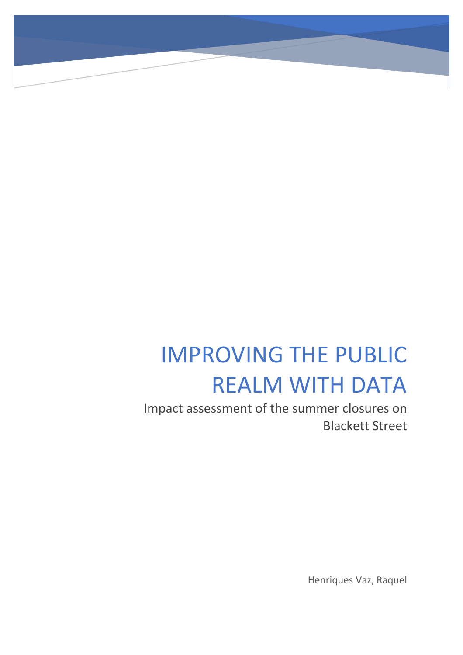# IMPROVING THE PUBLIC REALM WITH DATA

Impact assessment of the summer closures on Blackett Street

Henriques Vaz, Raquel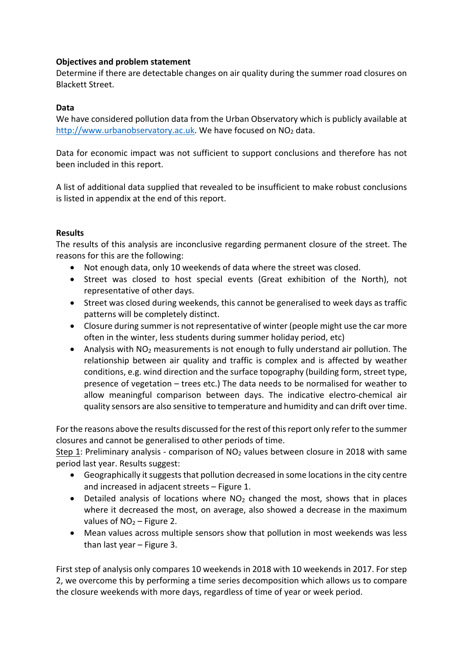# **Objectives and problem statement**

Determine if there are detectable changes on air quality during the summer road closures on Blackett Street.

# **Data**

We have considered pollution data from the Urban Observatory which is publicly available at http://www.urbanobservatory.ac.uk. We have focused on NO<sub>2</sub> data.

Data for economic impact was not sufficient to support conclusions and therefore has not been included in this report.

A list of additional data supplied that revealed to be insufficient to make robust conclusions is listed in appendix at the end of this report.

### **Results**

The results of this analysis are inconclusive regarding permanent closure of the street. The reasons for this are the following:

- Not enough data, only 10 weekends of data where the street was closed.
- Street was closed to host special events (Great exhibition of the North), not representative of other days.
- Street was closed during weekends, this cannot be generalised to week days as traffic patterns will be completely distinct.
- Closure during summer is not representative of winter (people might use the car more often in the winter, less students during summer holiday period, etc)
- Analysis with NO<sub>2</sub> measurements is not enough to fully understand air pollution. The relationship between air quality and traffic is complex and is affected by weather conditions, e.g. wind direction and the surface topography (building form, street type, presence of vegetation – trees etc.) The data needs to be normalised for weather to allow meaningful comparison between days. The indicative electro-chemical air quality sensors are also sensitive to temperature and humidity and can drift over time.

For the reasons above the results discussed for the rest of this report only refer to the summer closures and cannot be generalised to other periods of time.

Step 1: Preliminary analysis - comparison of NO<sub>2</sub> values between closure in 2018 with same period last year. Results suggest:

- Geographically it suggests that pollution decreased in some locations in the city centre and increased in adjacent streets – Figure 1.
- Detailed analysis of locations where  $NO<sub>2</sub>$  changed the most, shows that in places where it decreased the most, on average, also showed a decrease in the maximum values of  $NO<sub>2</sub> - Figure 2$ .
- Mean values across multiple sensors show that pollution in most weekends was less than last year – Figure 3.

First step of analysis only compares 10 weekends in 2018 with 10 weekends in 2017. For step 2, we overcome this by performing a time series decomposition which allows us to compare the closure weekends with more days, regardless of time of year or week period.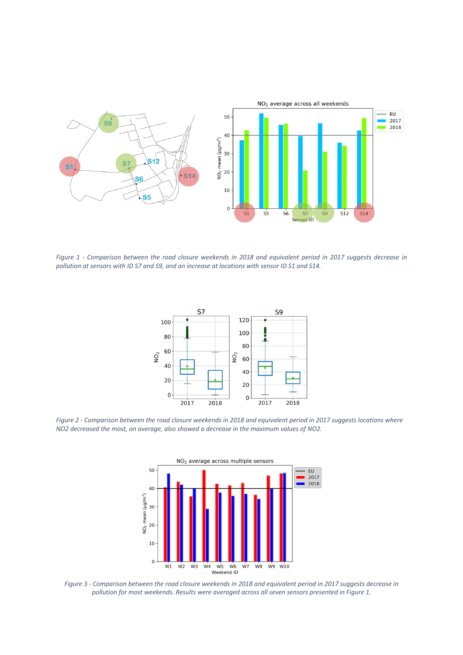

*Figure 1 - Comparison between the road closure weekends in 2018 and equivalent period in 2017 suggests decrease in pollution at sensors with ID S7 and S9, and an increase at locations with sensor ID S1 and S14.*



*Figure 2 - Comparison between the road closure weekends in 2018 and equivalent period in 2017 suggests locations where NO2 decreased the most, on average, also showed a decrease in the maximum values of NO2.*



*Figure 3 - Comparison between the road closure weekends in 2018 and equivalent period in 2017 suggests decrease in pollution for most weekends. Results were averaged across all seven sensors presented in Figure 1.*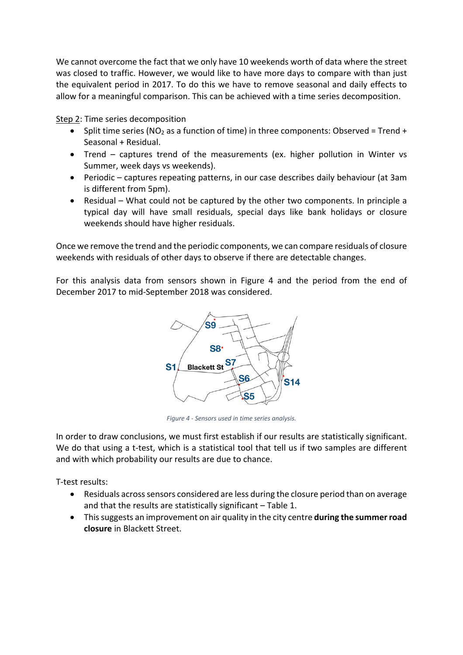We cannot overcome the fact that we only have 10 weekends worth of data where the street was closed to traffic. However, we would like to have more days to compare with than just the equivalent period in 2017. To do this we have to remove seasonal and daily effects to allow for a meaningful comparison. This can be achieved with a time series decomposition.

Step 2: Time series decomposition

- Split time series (NO<sub>2</sub> as a function of time) in three components: Observed = Trend + Seasonal + Residual.
- Trend captures trend of the measurements (ex. higher pollution in Winter vs Summer, week days vs weekends).
- Periodic captures repeating patterns, in our case describes daily behaviour (at 3am is different from 5pm).
- Residual What could not be captured by the other two components. In principle a typical day will have small residuals, special days like bank holidays or closure weekends should have higher residuals.

Once we remove the trend and the periodic components, we can compare residuals of closure weekends with residuals of other days to observe if there are detectable changes.

For this analysis data from sensors shown in Figure 4 and the period from the end of December 2017 to mid-September 2018 was considered.



*Figure 4 - Sensors used in time series analysis.*

In order to draw conclusions, we must first establish if our results are statistically significant. We do that using a t-test, which is a statistical tool that tell us if two samples are different and with which probability our results are due to chance.

T-test results:

- Residuals across sensors considered are less during the closure period than on average and that the results are statistically significant – Table 1.
- This suggests an improvement on air quality in the city centre **during the summer road closure** in Blackett Street.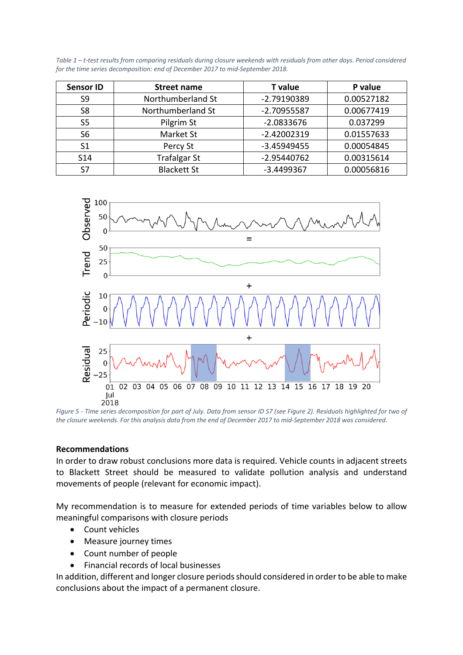*Table 1 – t-test results from comparing residuals during closure weekends with residuals from other days. Period considered for the time series decomposition: end of December 2017 to mid-September 2018.*

| <b>Sensor ID</b> | Street name         | <b>T</b> value | P value    |
|------------------|---------------------|----------------|------------|
| S <sub>9</sub>   | Northumberland St   | -2.79190389    | 0.00527182 |
| S <sub>8</sub>   | Northumberland St   | -2.70955587    | 0.00677419 |
| S <sub>5</sub>   | Pilgrim St          | $-2.0833676$   | 0.037299   |
| S <sub>6</sub>   | Market St           | $-2.42002319$  | 0.01557633 |
| S <sub>1</sub>   | Percy St            | $-3.45949455$  | 0.00054845 |
| <b>S14</b>       | <b>Trafalgar St</b> | $-2.95440762$  | 0.00315614 |
| S7               | <b>Blackett St</b>  | $-3.4499367$   | 0.00056816 |



*Figure 5 - Time series decomposition for part of July. Data from sensor ID S7 (see Figure 2). Residuals highlighted for two of the closure weekends. For this analysis data from the end of December 2017 to mid-September 2018 was considered.*

#### **Recommendations**

In order to draw robust conclusions more data is required. Vehicle counts in adjacent streets to Blackett Street should be measured to validate pollution analysis and understand movements of people (relevant for economic impact).

My recommendation is to measure for extended periods of time variables below to allow meaningful comparisons with closure periods

- Count vehicles
- Measure journey times
- Count number of people
- Financial records of local businesses

In addition, different and longer closure periods should considered in order to be able to make conclusions about the impact of a permanent closure.